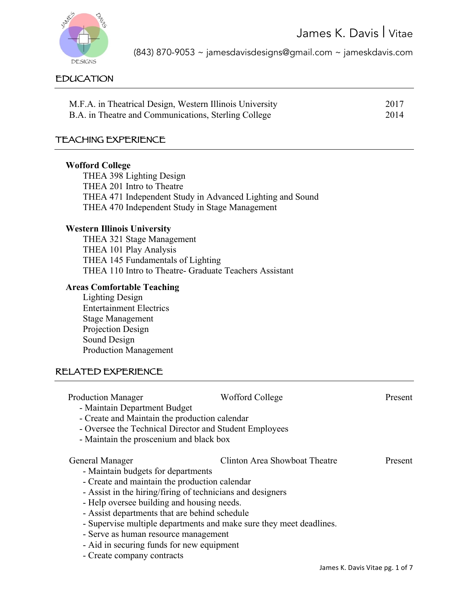

(843) 870-9053 ~ jamesdavisdesigns@gmail.com ~ jameskdavis.com

### EDUCATION

| M.F.A. in Theatrical Design, Western Illinois University | 2017 |
|----------------------------------------------------------|------|
| B.A. in Theatre and Communications, Sterling College     | 2014 |

#### TEACHING EXPERIENCE

#### **Wofford College**

THEA 398 Lighting Design THEA 201 Intro to Theatre THEA 471 Independent Study in Advanced Lighting and Sound THEA 470 Independent Study in Stage Management

#### **Western Illinois University**

THEA 321 Stage Management THEA 101 Play Analysis THEA 145 Fundamentals of Lighting THEA 110 Intro to Theatre- Graduate Teachers Assistant

### **Areas Comfortable Teaching**

Lighting Design Entertainment Electrics Stage Management Projection Design Sound Design Production Management

#### RELATED EXPERIENCE

| <b>Production Manager</b><br>- Maintain Department Budget<br>- Create and Maintain the production calendar<br>- Oversee the Technical Director and Student Employees | Wofford College                                                     | <b>Present</b> |
|----------------------------------------------------------------------------------------------------------------------------------------------------------------------|---------------------------------------------------------------------|----------------|
| - Maintain the proscenium and black box                                                                                                                              |                                                                     |                |
| General Manager<br>- Maintain budgets for departments                                                                                                                | Clinton Area Showboat Theatre                                       | Present        |
| - Create and maintain the production calendar                                                                                                                        |                                                                     |                |
| - Assist in the hiring/firing of technicians and designers                                                                                                           |                                                                     |                |
| - Help oversee building and housing needs.                                                                                                                           |                                                                     |                |
| - Assist departments that are behind schedule                                                                                                                        |                                                                     |                |
|                                                                                                                                                                      | - Supervise multiple departments and make sure they meet deadlines. |                |
| - Serve as human resource management                                                                                                                                 |                                                                     |                |
| - Aid in securing funds for new equipment                                                                                                                            |                                                                     |                |
| - Create company contracts                                                                                                                                           |                                                                     |                |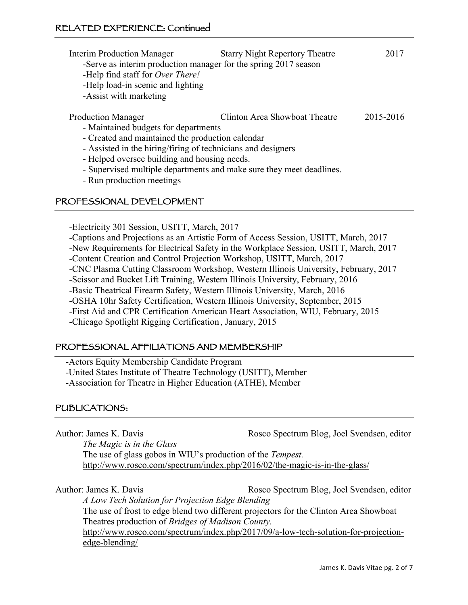| <b>Interim Production Manager</b><br>-Serve as interim production manager for the spring 2017 season<br>-Help find staff for <i>Over There!</i><br>-Help load-in scenic and lighting<br>-Assist with marketing | <b>Starry Night Repertory Theatre</b> | 2017      |
|----------------------------------------------------------------------------------------------------------------------------------------------------------------------------------------------------------------|---------------------------------------|-----------|
| <b>Production Manager</b>                                                                                                                                                                                      | Clinton Area Showboat Theatre         | 2015-2016 |
| - Maintained budgets for departments                                                                                                                                                                           |                                       |           |
| - Created and maintained the production calendar                                                                                                                                                               |                                       |           |
| - Assisted in the hiring/firing of technicians and designers                                                                                                                                                   |                                       |           |
| - Helped oversee building and housing needs.                                                                                                                                                                   |                                       |           |
| - Supervised multiple departments and make sure they meet deadlines.                                                                                                                                           |                                       |           |
| - Run production meetings                                                                                                                                                                                      |                                       |           |

#### PROFESSIONAL DEVELOPMENT

-Electricity 301 Session, USITT, March, 2017

-Captions and Projections as an Artistic Form of Access Session, USITT, March, 2017

-New Requirements for Electrical Safety in the Workplace Session, USITT, March, 2017

-Content Creation and Control Projection Workshop, USITT, March, 2017

-CNC Plasma Cutting Classroom Workshop, Western Illinois University, February, 2017

-Scissor and Bucket Lift Training, Western Illinois University, February, 2016

-Basic Theatrical Firearm Safety, Western Illinois University, March, 2016

-OSHA 10hr Safety Certification, Western Illinois University, September, 2015

-First Aid and CPR Certification American Heart Association, WIU, February, 2015

-Chicago Spotlight Rigging Certification , January, 2015

### PROFESSIONAL AFFILIATIONS AND MEMBERSHIP

-Actors Equity Membership Candidate Program

-United States Institute of Theatre Technology (USITT), Member

-Association for Theatre in Higher Education (ATHE), Member

### PUBLICATIONS:

Author: James K. Davis Rosco Spectrum Blog, Joel Svendsen, editor

*The Magic is in the Glass*

The use of glass gobos in WIU's production of the *Tempest.* http://www.rosco.com/spectrum/index.php/2016/02/the-magic-is-in-the-glass/

Author: James K. Davis Rosco Spectrum Blog, Joel Svendsen, editor *A Low Tech Solution for Projection Edge Blending* The use of frost to edge blend two different projectors for the Clinton Area Showboat Theatres production of *Bridges of Madison County.*  http://www.rosco.com/spectrum/index.php/2017/09/a-low-tech-solution-for-projection-

edge-blending/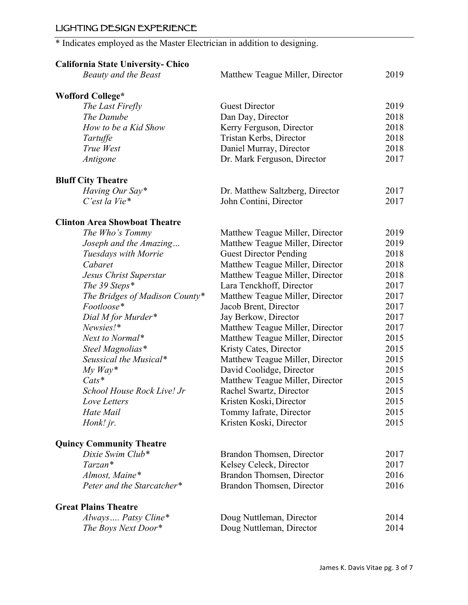## LIGHTING DESIGN EXPERIENCE

# \* Indicates employed as the Master Electrician in addition to designing.

# **California State University- Chico**

| Matthew Teague Miller, Director | 2019                                                                                                                                                                                                                                                                                                               |
|---------------------------------|--------------------------------------------------------------------------------------------------------------------------------------------------------------------------------------------------------------------------------------------------------------------------------------------------------------------|
|                                 |                                                                                                                                                                                                                                                                                                                    |
| <b>Guest Director</b>           | 2019                                                                                                                                                                                                                                                                                                               |
|                                 | 2018                                                                                                                                                                                                                                                                                                               |
|                                 | 2018                                                                                                                                                                                                                                                                                                               |
|                                 | 2018                                                                                                                                                                                                                                                                                                               |
|                                 | 2018                                                                                                                                                                                                                                                                                                               |
| Dr. Mark Ferguson, Director     | 2017                                                                                                                                                                                                                                                                                                               |
|                                 |                                                                                                                                                                                                                                                                                                                    |
|                                 | 2017                                                                                                                                                                                                                                                                                                               |
| John Contini, Director          | 2017                                                                                                                                                                                                                                                                                                               |
|                                 |                                                                                                                                                                                                                                                                                                                    |
| Matthew Teague Miller, Director | 2019                                                                                                                                                                                                                                                                                                               |
| Matthew Teague Miller, Director | 2019                                                                                                                                                                                                                                                                                                               |
| <b>Guest Director Pending</b>   | 2018                                                                                                                                                                                                                                                                                                               |
| Matthew Teague Miller, Director | 2018                                                                                                                                                                                                                                                                                                               |
| Matthew Teague Miller, Director | 2018                                                                                                                                                                                                                                                                                                               |
| Lara Tenckhoff, Director        | 2017                                                                                                                                                                                                                                                                                                               |
| Matthew Teague Miller, Director | 2017                                                                                                                                                                                                                                                                                                               |
| Jacob Brent, Director           | 2017                                                                                                                                                                                                                                                                                                               |
| Jay Berkow, Director            | 2017                                                                                                                                                                                                                                                                                                               |
| Matthew Teague Miller, Director | 2017                                                                                                                                                                                                                                                                                                               |
| Matthew Teague Miller, Director | 2015                                                                                                                                                                                                                                                                                                               |
|                                 | 2015                                                                                                                                                                                                                                                                                                               |
|                                 | 2015                                                                                                                                                                                                                                                                                                               |
|                                 | 2015                                                                                                                                                                                                                                                                                                               |
| Matthew Teague Miller, Director | 2015                                                                                                                                                                                                                                                                                                               |
|                                 | 2015                                                                                                                                                                                                                                                                                                               |
| Kristen Koski, Director         | 2015                                                                                                                                                                                                                                                                                                               |
|                                 | 2015                                                                                                                                                                                                                                                                                                               |
| Kristen Koski, Director         | 2015                                                                                                                                                                                                                                                                                                               |
|                                 |                                                                                                                                                                                                                                                                                                                    |
|                                 | 2017                                                                                                                                                                                                                                                                                                               |
| Kelsey Celeck, Director         | 2017                                                                                                                                                                                                                                                                                                               |
| Brandon Thomsen, Director       | 2016                                                                                                                                                                                                                                                                                                               |
| Brandon Thomsen, Director       | 2016                                                                                                                                                                                                                                                                                                               |
|                                 |                                                                                                                                                                                                                                                                                                                    |
| Doug Nuttleman, Director        | 2014                                                                                                                                                                                                                                                                                                               |
| Doug Nuttleman, Director        | 2014                                                                                                                                                                                                                                                                                                               |
|                                 | Dan Day, Director<br>Kerry Ferguson, Director<br>Tristan Kerbs, Director<br>Daniel Murray, Director<br>Dr. Matthew Saltzberg, Director<br>Kristy Cates, Director<br>Matthew Teague Miller, Director<br>David Coolidge, Director<br>Rachel Swartz, Director<br>Tommy Iafrate, Director<br>Brandon Thomsen, Director |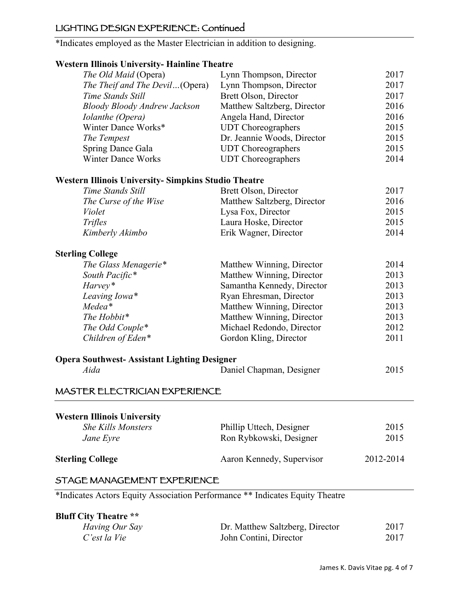## LIGHTING DESIGN EXPERIENCE: Continued

\*Indicates employed as the Master Electrician in addition to designing.

## **Western Illinois University- Hainline Theatre**

| estern minions emreisit;<br>The Old Maid (Opera)            | Lynn Thompson, Director     | 2017      |
|-------------------------------------------------------------|-----------------------------|-----------|
| The Theif and The Devil(Opera)                              | Lynn Thompson, Director     | 2017      |
| Time Stands Still                                           | Brett Olson, Director       | 2017      |
| <b>Bloody Bloody Andrew Jackson</b>                         | Matthew Saltzberg, Director | 2016      |
| Iolanthe (Opera)                                            | Angela Hand, Director       | 2016      |
| Winter Dance Works*                                         | <b>UDT</b> Choreographers   | 2015      |
| The Tempest                                                 | Dr. Jeannie Woods, Director | 2015      |
| <b>Spring Dance Gala</b>                                    | <b>UDT</b> Choreographers   | 2015      |
| <b>Winter Dance Works</b>                                   | <b>UDT</b> Choreographers   | 2014      |
| <b>Western Illinois University- Simpkins Studio Theatre</b> |                             |           |
| Time Stands Still                                           | Brett Olson, Director       | 2017      |
| The Curse of the Wise                                       | Matthew Saltzberg, Director | 2016      |
| Violet                                                      | Lysa Fox, Director          | 2015      |
| <b>Trifles</b>                                              | Laura Hoske, Director       | 2015      |
| Kimberly Akimbo                                             | Erik Wagner, Director       | 2014      |
|                                                             |                             |           |
| <b>Sterling College</b>                                     |                             |           |
| The Glass Menagerie*                                        | Matthew Winning, Director   | 2014      |
| South Pacific*                                              | Matthew Winning, Director   | 2013      |
| Harvey*                                                     | Samantha Kennedy, Director  | 2013      |
| Leaving Iowa*                                               | Ryan Ehresman, Director     | 2013      |
| Medea*                                                      | Matthew Winning, Director   | 2013      |
| The Hobbit*                                                 | Matthew Winning, Director   | 2013      |
| The Odd Couple*                                             | Michael Redondo, Director   | 2012      |
| Children of Eden*                                           | Gordon Kling, Director      | 2011      |
| <b>Opera Southwest-Assistant Lighting Designer</b>          |                             |           |
| Aida                                                        | Daniel Chapman, Designer    | 2015      |
| MASTER ELECTRICIAN EXPERIENCE                               |                             |           |
|                                                             |                             |           |
| <b>Western Illinois University</b>                          |                             |           |
| <b>She Kills Monsters</b>                                   | Phillip Uttech, Designer    | 2015      |
| Jane Eyre                                                   | Ron Rybkowski, Designer     | 2015      |
| <b>Sterling College</b>                                     | Aaron Kennedy, Supervisor   | 2012-2014 |
|                                                             |                             |           |

# STAGE MANAGEMENT EXPERIENCE

\*Indicates Actors Equity Association Performance \*\* Indicates Equity Theatre

| <b>Bluff City Theatre **</b> |                                 |      |
|------------------------------|---------------------------------|------|
| Having Our Say               | Dr. Matthew Saltzberg, Director | 2017 |
| C'est la Vie                 | John Contini, Director          | 2017 |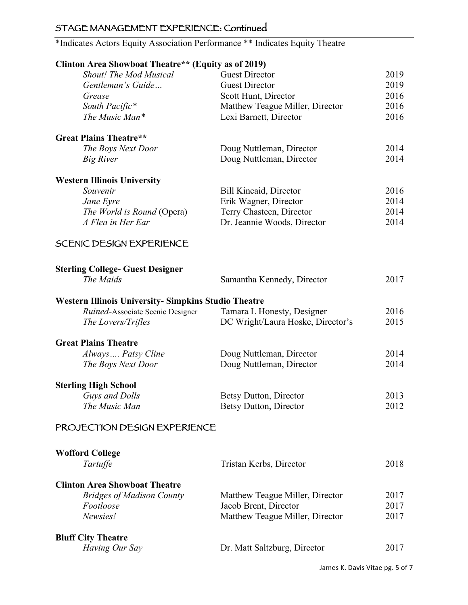# STAGE MANAGEMENT EXPERIENCE: Continued

\*Indicates Actors Equity Association Performance \*\* Indicates Equity Theatre

## **Clinton Area Showboat Theatre\*\* (Equity as of 2019)**

| <b>Shout!</b> The Mod Musical      | <b>Guest Director</b>           | 2019 |
|------------------------------------|---------------------------------|------|
| Gentleman's Guide                  | <b>Guest Director</b>           | 2019 |
| Grease                             | Scott Hunt, Director            | 2016 |
| South Pacific*                     | Matthew Teague Miller, Director | 2016 |
| The Music Man*                     | Lexi Barnett, Director          | 2016 |
| <b>Great Plains Theatre**</b>      |                                 |      |
| The Boys Next Door                 | Doug Nuttleman, Director        | 2014 |
| Big River                          | Doug Nuttleman, Director        | 2014 |
| <b>Western Illinois University</b> |                                 |      |
| Souvenir                           | <b>Bill Kincaid, Director</b>   | 2016 |
| Jane Eyre                          | Erik Wagner, Director           | 2014 |
| <i>The World is Round</i> (Opera)  | Terry Chasteen, Director        | 2014 |
| A Flea in Her Ear                  | Dr. Jeannie Woods, Director     | 2014 |

## SCENIC DESIGN EXPERIENCE

| <b>Sterling College- Guest Designer</b>                    |                                   |      |
|------------------------------------------------------------|-----------------------------------|------|
| The Maids                                                  | Samantha Kennedy, Director        | 2017 |
| <b>Western Illinois University-Simpkins Studio Theatre</b> |                                   |      |
|                                                            |                                   |      |
| <i>Ruined</i> -Associate Scenic Designer                   | Tamara L Honesty, Designer        | 2016 |
| The Lovers/Trifles                                         | DC Wright/Laura Hoske, Director's | 2015 |
| <b>Great Plains Theatre</b>                                |                                   |      |
| Always  Patsy Cline                                        | Doug Nuttleman, Director          | 2014 |
| The Boys Next Door                                         | Doug Nuttleman, Director          | 2014 |
|                                                            |                                   |      |
| <b>Sterling High School</b>                                |                                   |      |
| Guys and Dolls                                             | Betsy Dutton, Director            | 2013 |
| The Music Man                                              | Betsy Dutton, Director            | 2012 |
|                                                            |                                   |      |
| PROJECTION DESIGN EXPERIENCE                               |                                   |      |
|                                                            |                                   |      |
| <b>Wofford College</b>                                     |                                   |      |
| Tartuffe                                                   | Tristan Kerbs, Director           | 2018 |
| <b>Clinton Area Showboat Theatre</b>                       |                                   |      |
| <b>Bridges of Madison County</b>                           | Matthew Teague Miller, Director   | 2017 |
| Footloose                                                  | Jacob Brent, Director             | 2017 |
|                                                            |                                   |      |
| Newsies!                                                   | Matthew Teague Miller, Director   | 2017 |

### **Bluff City Theatre**<br>*Having Our Say* **Dr. Matt Saltzburg, Director** 2017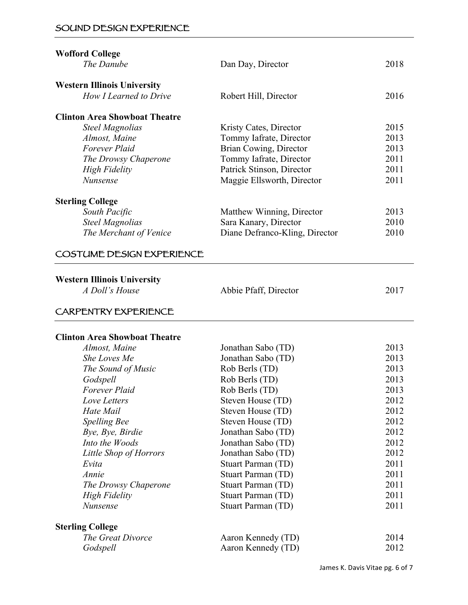## SOUND DESIGN EXPERIENCE

| <b>Wofford College</b>                               |                                |      |
|------------------------------------------------------|--------------------------------|------|
| The Danube                                           | Dan Day, Director              | 2018 |
| <b>Western Illinois University</b>                   |                                |      |
| How I Learned to Drive                               | Robert Hill, Director          | 2016 |
| <b>Clinton Area Showboat Theatre</b>                 |                                |      |
| <b>Steel Magnolias</b>                               | Kristy Cates, Director         | 2015 |
| Almost, Maine                                        | Tommy Iafrate, Director        | 2013 |
| <b>Forever Plaid</b>                                 | Brian Cowing, Director         | 2013 |
| The Drowsy Chaperone                                 | Tommy Iafrate, Director        | 2011 |
| <b>High Fidelity</b>                                 | Patrick Stinson, Director      | 2011 |
| Nunsense                                             | Maggie Ellsworth, Director     | 2011 |
| <b>Sterling College</b>                              |                                |      |
| South Pacific                                        | Matthew Winning, Director      | 2013 |
| <b>Steel Magnolias</b>                               | Sara Kanary, Director          | 2010 |
| The Merchant of Venice                               | Diane Defranco-Kling, Director | 2010 |
| COSTUME DESIGN EXPERIENCE                            |                                |      |
|                                                      |                                |      |
| <b>Western Illinois University</b><br>A Doll's House |                                | 2017 |
|                                                      | Abbie Pfaff, Director          |      |
| CARPENTRY EXPERIENCE                                 |                                |      |
| <b>Clinton Area Showboat Theatre</b>                 |                                |      |
| Almost, Maine                                        | Jonathan Sabo (TD)             | 2013 |
| She Loves Me                                         | Jonathan Sabo (TD)             | 2013 |
| The Sound of Music                                   | Rob Berls (TD)                 | 2013 |
| Godspell                                             | Rob Berls (TD)                 | 2013 |
| Forever Plaid                                        | Rob Berls (TD)                 | 2013 |
| Love Letters                                         | Steven House (TD)              | 2012 |
| Hate Mail                                            | Steven House (TD)              | 2012 |
| <b>Spelling Bee</b>                                  | Steven House (TD)              | 2012 |
| Bye, Bye, Birdie                                     | Jonathan Sabo (TD)             | 2012 |
| Into the Woods                                       | Jonathan Sabo (TD)             | 2012 |
| Little Shop of Horrors                               | Jonathan Sabo (TD)             | 2012 |
| Evita                                                | Stuart Parman (TD)             | 2011 |
| Annie                                                |                                | 2011 |
|                                                      | Stuart Parman (TD)             |      |
| The Drowsy Chaperone                                 | <b>Stuart Parman (TD)</b>      | 2011 |
| <b>High Fidelity</b>                                 | Stuart Parman (TD)             | 2011 |
| Nunsense                                             | Stuart Parman (TD)             | 2011 |
| <b>Sterling College</b>                              |                                |      |
| The Great Divorce                                    | Aaron Kennedy (TD)             | 2014 |